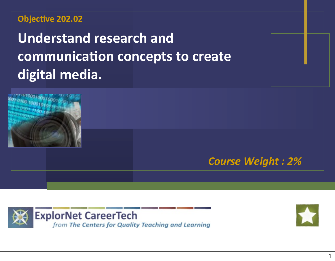#### **Objective 202.02**

# **Understand research and communication concepts to create digital media.**







1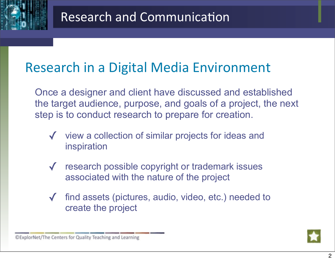

### Research in a Digital Media Environment

Once a designer and client have discussed and established the target audience, purpose, and goals of a project, the next step is to conduct research to prepare for creation.

- ✓ view a collection of similar projects for ideas and inspiration
- ✓ research possible copyright or trademark issues associated with the nature of the project
- ✓ find assets (pictures, audio, video, etc.) needed to create the project

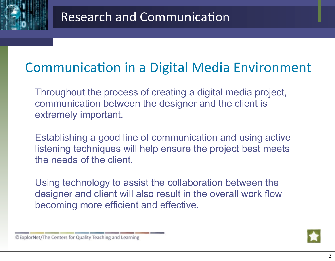

### **Communication in a Digital Media Environment**

Throughout the process of creating a digital media project, communication between the designer and the client is extremely important.

Establishing a good line of communication and using active listening techniques will help ensure the project best meets the needs of the client.

Using technology to assist the collaboration between the designer and client will also result in the overall work flow becoming more efficient and effective.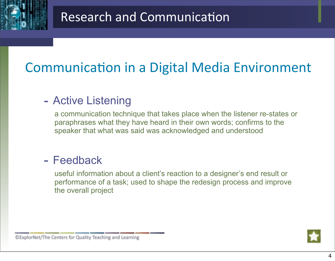

### Communication in a Digital Media Environment

### - Active Listening

a communication technique that takes place when the listener re-states or paraphrases what they have heard in their own words; confirms to the speaker that what was said was acknowledged and understood

#### - Feedback

useful information about a client's reaction to a designer's end result or performance of a task; used to shape the redesign process and improve the overall project